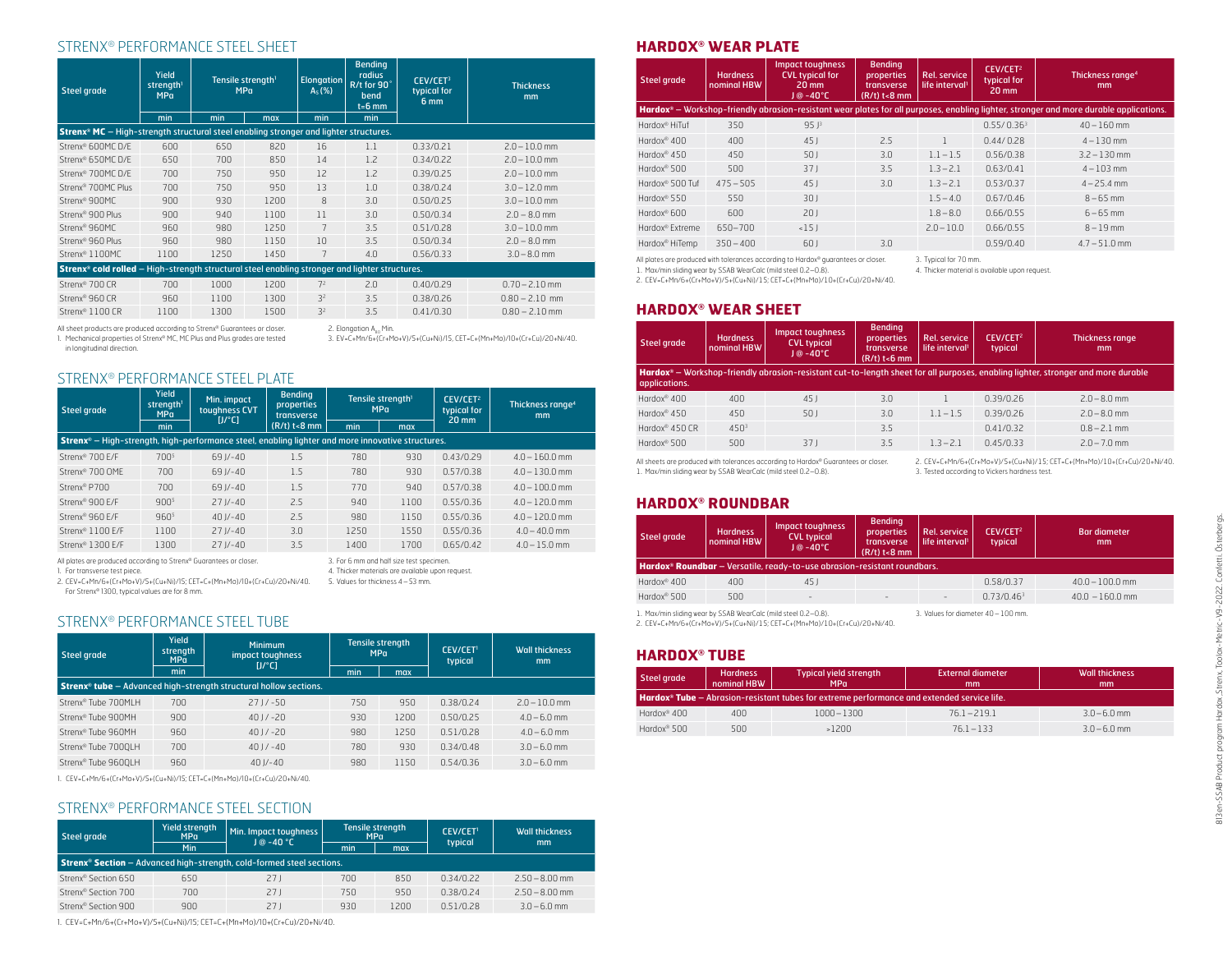## STRENX® PERFORMANCE STEEL SHEET

| <b>Steel grade</b>                                                                                               | Yield<br>strength <sup>1</sup><br><b>MPa</b> |      | Tensile strength <sup>1</sup><br><b>MPa</b> | <b>Elongation</b><br>$A_5$ (%) | <b>Bending</b><br>radius<br>R/t for 90°<br>bend<br>$t=6$ mm | CEV/CET <sup>3</sup><br>typical for<br>6 mm | <b>Thickness</b><br>mm |  |
|------------------------------------------------------------------------------------------------------------------|----------------------------------------------|------|---------------------------------------------|--------------------------------|-------------------------------------------------------------|---------------------------------------------|------------------------|--|
|                                                                                                                  | min                                          | min  | max                                         | min                            | min                                                         |                                             |                        |  |
| Strenx® MC - High-strength structural steel enabling stronger and lighter structures.                            |                                              |      |                                             |                                |                                                             |                                             |                        |  |
| Strenx® 600MC D/E                                                                                                | 600                                          | 650  | 820                                         | 16                             | 1.1                                                         | 0.33/0.21                                   | $2.0 - 10.0$ mm        |  |
| Strenx® 650MC D/E                                                                                                | 650                                          | 700  | 850                                         | 14                             | 1.2                                                         | 0.34/0.22                                   | $2.0 - 10.0$ mm        |  |
| Strenx <sup>®</sup> 700MC D/E                                                                                    | 700                                          | 750  | 950                                         | 12                             | 1.2                                                         | 0.39/0.25                                   | $2.0 - 10.0$ mm        |  |
| Strenx <sup>®</sup> 700MC Plus                                                                                   | 700                                          | 750  | 950                                         | 13                             | 1.0                                                         | 0.38/0.24                                   | $3.0 - 12.0$ mm        |  |
| Strenx <sup>®</sup> 900MC                                                                                        | 900                                          | 930  | 1200                                        | 8                              | 3.0                                                         | 0.50/0.25                                   | $3.0 - 10.0$ mm        |  |
| Strenx <sup>®</sup> 900 Plus                                                                                     | 900                                          | 940  | 1100                                        | 11                             | 3.0                                                         | 0.50/0.34                                   | $2.0 - 8.0$ mm         |  |
| Strenx <sup>®</sup> 960MC                                                                                        | 960                                          | 980  | 1250                                        | 7                              | 3.5                                                         | 0.51/0.28                                   | $3.0 - 10.0$ mm        |  |
| Strenx <sup>®</sup> 960 Plus                                                                                     | 960                                          | 980  | 1150                                        | 10                             | 3.5                                                         | 0.50/0.34                                   | $2.0 - 8.0$ mm         |  |
| Strenx <sup>®</sup> 1100MC                                                                                       | 1100                                         | 1250 | 1450                                        | 7                              | 4.0                                                         | 0.56/0.33                                   | $3.0 - 8.0$ mm         |  |
| <b>Strenx<sup>®</sup> cold rolled</b> – High-strength structural steel enabling stronger and lighter structures. |                                              |      |                                             |                                |                                                             |                                             |                        |  |
| Strenx <sup>®</sup> 700 CR                                                                                       | 700                                          | 1000 | 1200                                        | 7 <sup>2</sup>                 | 2.0                                                         | 0.40/0.29                                   | $0.70 - 2.10$ mm       |  |
| Strenx <sup>®</sup> 960 CR                                                                                       | 960                                          | 1100 | 1300                                        | 3 <sup>2</sup>                 | 3.5                                                         | 0.38/0.26                                   | $0.80 - 2.10$ mm       |  |
| Strenx <sup>®</sup> 1100 CR                                                                                      | 1100                                         | 1300 | 1500                                        | 3 <sup>2</sup>                 | 3.5                                                         | 0.41/0.30                                   | $0.80 - 2.10$ mm       |  |
| All sheet products are produced according to Strenx® Guarantees or closer.                                       |                                              |      |                                             |                                | 2. Elongation A <sub>co</sub> Min.                          |                                             |                        |  |

All sheet products are produced according to Strenx® Guarantees or closer. 1. Mechanical properties of Strenx® MC, MC Plus and Plus grades are tested in longitudinal direction.

3. EV=C+Mn/6+(Cr+Mo+V)/5+(Cu+Ni)/15, CET=C+(Mn+Mo)/10+(Cr+Cu)/20+Ni/40.

#### STRENX® PERFORMANCE STEEL PLATE

| Steel grade                                                                                                         | <b>Yield</b><br>strength <sup>1</sup><br><b>MPa</b> | Min. impact<br>toughness CVT<br>$[J/\degree C]$ | <b>Bending</b><br>properties<br>transverse | Tensile strength <sup>1</sup><br>MPa                                                         |      | CEV/CET <sup>2</sup><br>typical for<br>20 mm | Thickness range <sup>4</sup><br>mm |  |  |  |
|---------------------------------------------------------------------------------------------------------------------|-----------------------------------------------------|-------------------------------------------------|--------------------------------------------|----------------------------------------------------------------------------------------------|------|----------------------------------------------|------------------------------------|--|--|--|
|                                                                                                                     | min                                                 |                                                 | $(R/t)$ t<8 mm                             | min<br>max                                                                                   |      |                                              |                                    |  |  |  |
| <b>Strenx<sup>®</sup></b> – High-strength, high-performance steel, enabling lighter and more innovative structures. |                                                     |                                                 |                                            |                                                                                              |      |                                              |                                    |  |  |  |
| Strenx <sup>®</sup> 700 F/F                                                                                         | 700 <sup>5</sup>                                    | $69 J - 40$                                     | 1.5                                        | 780                                                                                          | 930  | 0.43/0.29                                    | $4.0 - 160.0$ mm                   |  |  |  |
| Strenx <sup>®</sup> 700 OMF                                                                                         | 700                                                 | $69 J - 40$                                     | 1.5                                        | 780                                                                                          | 930  | 0.57/0.38                                    | $4.0 - 130.0$ mm                   |  |  |  |
| Strenx <sup>®</sup> P700                                                                                            | 700                                                 | $69 J - 40$                                     | 1.5                                        | 770                                                                                          | 940  | 0.57/0.38                                    | $4.0 - 100.0$ mm                   |  |  |  |
| Strenx <sup>®</sup> 900 F/F                                                                                         | 900 <sup>5</sup>                                    | $271/ -40$                                      | 2.5                                        | 940                                                                                          | 1100 | 0.55/0.36                                    | $4.0 - 120.0$ mm                   |  |  |  |
| Strenx <sup>®</sup> 960 F/F                                                                                         | 960 <sup>5</sup>                                    | $401/-40$                                       | 2.5                                        | 980                                                                                          | 1150 | 0.55/0.36                                    | $4.0 - 120.0$ mm                   |  |  |  |
| Strenx <sup>®</sup> 1100 E/F                                                                                        | 1100                                                | $27 J/- 40$                                     | 3.0                                        | 1250                                                                                         | 1550 | 0.55/0.36                                    | $4.0 - 40.0$ mm                    |  |  |  |
| Strenx <sup>®</sup> 1300 E/F                                                                                        | 1300                                                | $27 J/- 40$                                     | 3.5                                        | 1400                                                                                         | 1700 | 0.65/0.42                                    | $4.0 - 15.0$ mm                    |  |  |  |
| All plates are produced according to Strenx® Guarantees or closer.<br>1. For transverse test piece.                 |                                                     |                                                 |                                            | 3. For 6 mm and half size test specimen.<br>4. Thicker materials are available upon request. |      |                                              |                                    |  |  |  |

2. CEV=C+Mn/6+(Cr+Mo+V)/5+(Cu+Ni)/15; CET=C+(Mn+Mo)/10+(Cr+Cu)/20+Ni/40. For Strenx® 1300, typical values are for 8 mm. 5. Values for thickness 4–53 mm.

## STRENX® PERFORMANCE STEEL TUBE

| Steel grade                                                                         | Yield<br>strength<br><b>MPa</b> | <b>Minimum</b><br>impact toughness<br>$I J^{\circ}$ C1 | MPa | <b>Tensile strength</b> | CEV/CET <sup>1</sup><br>typical | <b>Wall thickness</b><br>mm |  |  |  |  |  |
|-------------------------------------------------------------------------------------|---------------------------------|--------------------------------------------------------|-----|-------------------------|---------------------------------|-----------------------------|--|--|--|--|--|
|                                                                                     | min                             |                                                        | min | max                     |                                 |                             |  |  |  |  |  |
| <b>Strenx<sup>®</sup> tube</b> - Advanced high-strength structural hollow sections. |                                 |                                                        |     |                         |                                 |                             |  |  |  |  |  |
| Strenx® Tube 700MLH                                                                 | 700                             | $271/-50$                                              | 750 | 950                     | 0.38/0.24                       | $2.0 - 10.0$ mm             |  |  |  |  |  |
| Strenx® Tube 900MH                                                                  | 900                             | $401/-20$                                              | 930 | 1200                    | 0.50/0.25                       | $4.0 - 6.0$ mm              |  |  |  |  |  |
| Strenx® Tube 960MH                                                                  | 960                             | $401/-20$                                              | 980 | 1250                    | 0.51/0.28                       | $4.0 - 6.0$ mm              |  |  |  |  |  |
| Strenx® Tube 7000LH                                                                 | 700                             | $401/-40$                                              | 780 | 930                     | 0.34/0.48                       | $3.0 - 6.0$ mm              |  |  |  |  |  |
| Strenx® Tube 9600LH                                                                 | 960                             | $401/-40$                                              | 980 | 1150                    | 0.54/0.36                       | $3.0 - 6.0$ mm              |  |  |  |  |  |

1. CEV=C+Mn/6+(Cr+Mo+V)/5+(Cu+Ni)/15; CET=C+(Mn+Mo)/10+(Cr+Cu)/20+Ni/40.

## STRENX® PERFORMANCE STEEL SECTION

| Steel grade                                                                             | Yield strength<br><b>MPa</b> | Min. Impact toughness<br>$J @ -40 °C$ |     | Tensile strength<br>MPa | <b>CEV/CET!</b> | <b>Wall thickness</b><br>mm |  |  |  |  |
|-----------------------------------------------------------------------------------------|------------------------------|---------------------------------------|-----|-------------------------|-----------------|-----------------------------|--|--|--|--|
|                                                                                         | Min                          |                                       | min | max                     | typical         |                             |  |  |  |  |
| <b>Strenx<sup>®</sup> Section</b> - Advanced high-strength, cold-formed steel sections. |                              |                                       |     |                         |                 |                             |  |  |  |  |
| Strenx <sup>®</sup> Section 650                                                         | 650                          | 27 I                                  | 700 | 850                     | 0.34/0.22       | $2.50 - 8.00$ mm            |  |  |  |  |
| Strenx <sup>®</sup> Section 700                                                         | 700                          | 271                                   | 750 | 950                     | 0.38/0.24       | $2.50 - 8.00$ mm            |  |  |  |  |
| Strenx <sup>®</sup> Section 900                                                         | 900                          | 27 J                                  | 930 | 1200                    | 0.51/0.28       | $3.0 - 6.0$ mm              |  |  |  |  |

1. CEV=C+Mn/6+(Cr+Mo+V)/5+(Cu+Ni)/15; CET=C+(Mn+Mo)/10+(Cr+Cu)/20+Ni/40.

## **HARDOX® WEAR PLATE**

| <b>Steel grade</b>          | <b>Hardness</b><br>nominal HBW | <b>Impact toughness</b><br><b>CVL typical for</b><br>$20 \text{ mm}$<br>$J@ - 40°C$ | <b>Bending</b><br>properties<br>transverse<br>$(R/t)$ t<8 mm | <b>Rel. service</b><br>life interval <sup>1</sup> | CEV/CET <sup>2</sup><br>typical for<br>20 mm | Thickness range <sup>4</sup><br>mm                                                                                                     |
|-----------------------------|--------------------------------|-------------------------------------------------------------------------------------|--------------------------------------------------------------|---------------------------------------------------|----------------------------------------------|----------------------------------------------------------------------------------------------------------------------------------------|
|                             |                                |                                                                                     |                                                              |                                                   |                                              | Hardox® – Workshop-friendly abrasion-resistant wear plates for all purposes, enabling lighter, stronger and more durable applications. |
| Hardox <sup>®</sup> HiTuf   | 350                            | 951 <sup>3</sup>                                                                    |                                                              |                                                   | 0.55/0.36 <sup>3</sup>                       | $40 - 160$ mm                                                                                                                          |
| Hardox <sup>®</sup> $400$   | 400                            | 451                                                                                 | 2.5                                                          |                                                   | 0.44/0.28                                    | $4 - 130$ mm                                                                                                                           |
| Hardox <sup>®</sup> 450     | 450                            | 501                                                                                 | 3.0                                                          | $1.1 - 1.5$                                       | 0.56/0.38                                    | $3.2 - 130$ mm                                                                                                                         |
| Hardox <sup>®</sup> 500     | 500                            | 371                                                                                 | 3.5                                                          | $1.3 - 2.1$                                       | 0.63/0.41                                    | $4 - 103$ mm                                                                                                                           |
| Hardox <sup>®</sup> 500 Tuf | $475 - 505$                    | 45 <sub>1</sub>                                                                     | 3.0                                                          | $1.3 - 2.1$                                       | 0.53/0.37                                    | $4 - 25.4$ mm                                                                                                                          |
| Hardox <sup>®</sup> 550     | 550                            | 301                                                                                 |                                                              | $1.5 - 4.0$                                       | 0.67/0.46                                    | $8 - 65$ mm                                                                                                                            |
| Hardox® 600                 | 600                            | 201                                                                                 |                                                              | $1.8 - 8.0$                                       | 0.66/0.55                                    | $6 - 65$ mm                                                                                                                            |
| Hardox <sup>®</sup> Extreme | 650-700                        | <15                                                                                 |                                                              | $2.0 - 10.0$                                      | 0.66/0.55                                    | $8 - 19$ mm                                                                                                                            |
| Hardox <sup>®</sup> HiTemp  | $350 - 400$                    | 60 J                                                                                | 3.0                                                          |                                                   | 0.59/0.40                                    | $4.7 - 51.0$ mm                                                                                                                        |

All plates are produced with tolerances according to Hardox® guarantees or closer. 1. Max/min sliding wear by SSAB WearCalc (mild steel 0.2–0.8).

3. Typical for 70 mm. 4. Thicker material is available upon request.

2. CEV=C+Mn/6+(Cr+Mo+V)/5+(Cu+Ni)/15; CET=C+(Mn+Mo)/10+(Cr+Cu)/20+Ni/40.

### **HARDOX® WEAR SHEET**

| <b>Steel grade</b>         | <b>Hardness</b><br>nominal HBW | <b>Impact toughness</b><br><b>CVL typical</b><br>$J@ - 40°C$ | <b>Bending</b><br>properties<br>transverse<br>$(R/t)$ t<6 mm | <b>Rel. service</b><br>life interval <sup>1</sup> | CEV/CET <sup>2</sup><br>typical | <b>Thickness range</b><br>mm                                                                                                     |
|----------------------------|--------------------------------|--------------------------------------------------------------|--------------------------------------------------------------|---------------------------------------------------|---------------------------------|----------------------------------------------------------------------------------------------------------------------------------|
| applications.              |                                |                                                              |                                                              |                                                   |                                 | Hardox® – Workshop-friendly abrasion-resistant cut-to-length sheet for all purposes, enabling lighter, stronger and more durable |
| Hardox <sup>®</sup> 400    | 400                            | 45 <sub>1</sub>                                              | 3.0                                                          |                                                   | 0.39/0.26                       | $2.0 - 8.0$ mm                                                                                                                   |
| Hardox <sup>®</sup> 450    | 450                            | 501                                                          | 3.0                                                          | $1.1 - 1.5$                                       | 0.39/0.26                       | $2.0 - 8.0$ mm                                                                                                                   |
| Hardox <sup>®</sup> 450 CR | 450 <sup>3</sup>               |                                                              | 3.5                                                          |                                                   | 0.41/0.32                       | $0.8 - 2.1$ mm                                                                                                                   |
| Hardox <sup>®</sup> 500    | 500                            | 371                                                          | 3.5                                                          | $1.3 - 2.1$                                       | 0.45/0.33                       | $2.0 - 7.0$ mm                                                                                                                   |

All sheets are produced with tolerances according to Hardox® Guarantees or closer. 1. Max/min sliding wear by SSAB WearCalc (mild steel 0.2–0.8).

2. CEV=C+Mn/6+(Cr+Mo+V)/5+(Cu+Ni)/15; CET=C+(Mn+Mo)/10+(Cr+Cu)/20+Ni/40. 3. Tested according to Vickers hardness test.

### **HARDOX® ROUNDBAR**

| Steel grade                                                 | <b>Hardness</b><br>nominal HBW                                                  | <b>Impact toughness</b><br><b>CVL typical</b><br>$J@ - 40°C$ | <b>Bending</b><br>properties<br>transverse<br>$(R/t)$ t<8 mm | Rel. service<br>life interval <sup>1</sup> | CEV/CET <sup>2</sup><br>typical | <b>Bar diameter</b><br>mm |  |  |  |  |
|-------------------------------------------------------------|---------------------------------------------------------------------------------|--------------------------------------------------------------|--------------------------------------------------------------|--------------------------------------------|---------------------------------|---------------------------|--|--|--|--|
|                                                             | <b>Hardox® Roundbar</b> - Versatile, ready-to-use abrasion-resistant roundbars. |                                                              |                                                              |                                            |                                 |                           |  |  |  |  |
| Hardox <sup>®</sup> 400                                     | 400                                                                             | 45 <sub>1</sub>                                              |                                                              |                                            | 0.58/0.37                       | $40.0 - 100.0$ mm         |  |  |  |  |
| Hardox <sup>®</sup> 500                                     | 500                                                                             | $\overline{\phantom{a}}$                                     | ۰                                                            | $\overline{\phantom{m}}$                   | 0.73/0.46 <sup>3</sup>          | $40.0 - 160.0$ mm         |  |  |  |  |
| Max/min sliding wear by SSAR WearCalc (mild steel 0.2–0.8). |                                                                                 |                                                              |                                                              | 3 Values for diameter 40 - 100 mm          |                                 |                           |  |  |  |  |

2. CEV=C+Mn/6+(Cr+Mo+V)/5+(Cu+Ni)/15; CET=C+(Mn+Mo)/10+(Cr+Cu)/20+Ni/40.

**HARDOX® TUBE**

| Steel grade                                                                                                  | <b>Hardness</b><br>nominal HBW | <b>Typical yield strength</b><br><b>MPa</b> | External diameter<br>mm | Wall thickness<br>mm |  |  |  |  |  |  |
|--------------------------------------------------------------------------------------------------------------|--------------------------------|---------------------------------------------|-------------------------|----------------------|--|--|--|--|--|--|
| <b>Hardox<sup>®</sup> Tube</b> – Abrasion-resistant tubes for extreme performance and extended service life. |                                |                                             |                         |                      |  |  |  |  |  |  |
| Hardox <sup>®</sup> 400                                                                                      | 400                            | $1000 - 1300$                               | $76.1 - 219.1$          | $3.0 - 6.0$ mm       |  |  |  |  |  |  |
| Hardox <sup>®</sup> 500                                                                                      | 500                            | >1200                                       | $76.1 - 133$            | $3.0 - 6.0$ mm       |  |  |  |  |  |  |